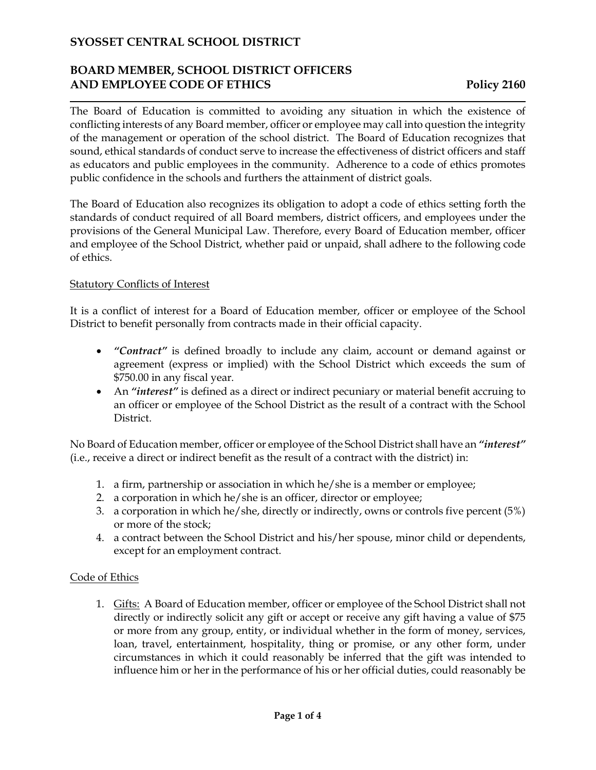## **BOARD MEMBER, SCHOOL DISTRICT OFFICERS AND EMPLOYEE CODE OF ETHICS Policy 2160**

The Board of Education is committed to avoiding any situation in which the existence of conflicting interests of any Board member, officer or employee may call into question the integrity of the management or operation of the school district. The Board of Education recognizes that sound, ethical standards of conduct serve to increase the effectiveness of district officers and staff as educators and public employees in the community. Adherence to a code of ethics promotes public confidence in the schools and furthers the attainment of district goals.

The Board of Education also recognizes its obligation to adopt a code of ethics setting forth the standards of conduct required of all Board members, district officers, and employees under the provisions of the General Municipal Law. Therefore, every Board of Education member, officer and employee of the School District, whether paid or unpaid, shall adhere to the following code of ethics.

### Statutory Conflicts of Interest

It is a conflict of interest for a Board of Education member, officer or employee of the School District to benefit personally from contracts made in their official capacity.

- *"Contract"* is defined broadly to include any claim, account or demand against or agreement (express or implied) with the School District which exceeds the sum of \$750.00 in any fiscal year.
- An *"interest"* is defined as a direct or indirect pecuniary or material benefit accruing to an officer or employee of the School District as the result of a contract with the School District.

No Board of Education member, officer or employee of the School District shall have an *"interest"* (i.e., receive a direct or indirect benefit as the result of a contract with the district) in:

- 1. a firm, partnership or association in which he/she is a member or employee;
- 2. a corporation in which he/she is an officer, director or employee;
- 3. a corporation in which he/she, directly or indirectly, owns or controls five percent (5%) or more of the stock;
- 4. a contract between the School District and his/her spouse, minor child or dependents, except for an employment contract.

### Code of Ethics

1. Gifts: A Board of Education member, officer or employee of the School District shall not directly or indirectly solicit any gift or accept or receive any gift having a value of \$75 or more from any group, entity, or individual whether in the form of money, services, loan, travel, entertainment, hospitality, thing or promise, or any other form, under circumstances in which it could reasonably be inferred that the gift was intended to influence him or her in the performance of his or her official duties, could reasonably be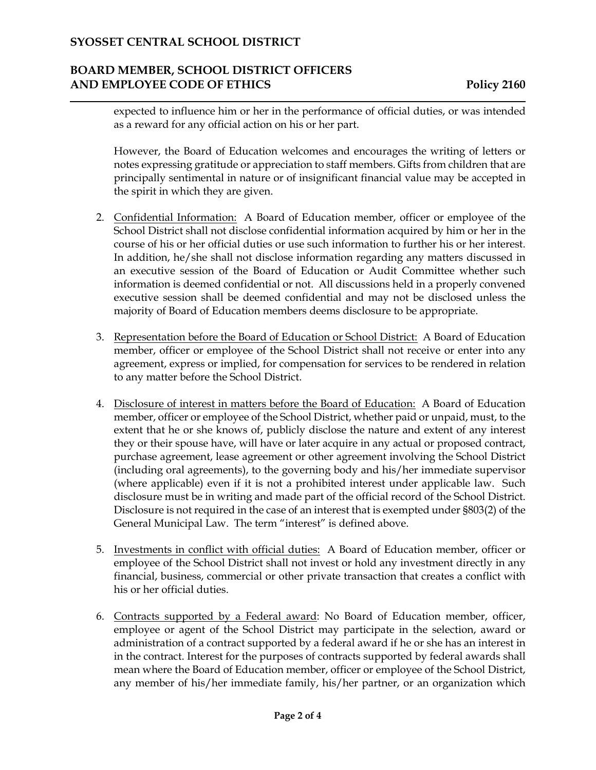## **BOARD MEMBER, SCHOOL DISTRICT OFFICERS AND EMPLOYEE CODE OF ETHICS Policy 2160**

expected to influence him or her in the performance of official duties, or was intended as a reward for any official action on his or her part.

However, the Board of Education welcomes and encourages the writing of letters or notes expressing gratitude or appreciation to staff members. Gifts from children that are principally sentimental in nature or of insignificant financial value may be accepted in the spirit in which they are given.

- 2. Confidential Information: A Board of Education member, officer or employee of the School District shall not disclose confidential information acquired by him or her in the course of his or her official duties or use such information to further his or her interest. In addition, he/she shall not disclose information regarding any matters discussed in an executive session of the Board of Education or Audit Committee whether such information is deemed confidential or not. All discussions held in a properly convened executive session shall be deemed confidential and may not be disclosed unless the majority of Board of Education members deems disclosure to be appropriate.
- 3. Representation before the Board of Education or School District: A Board of Education member, officer or employee of the School District shall not receive or enter into any agreement, express or implied, for compensation for services to be rendered in relation to any matter before the School District.
- 4. Disclosure of interest in matters before the Board of Education: A Board of Education member, officer or employee of the School District, whether paid or unpaid, must, to the extent that he or she knows of, publicly disclose the nature and extent of any interest they or their spouse have, will have or later acquire in any actual or proposed contract, purchase agreement, lease agreement or other agreement involving the School District (including oral agreements), to the governing body and his/her immediate supervisor (where applicable) even if it is not a prohibited interest under applicable law. Such disclosure must be in writing and made part of the official record of the School District. Disclosure is not required in the case of an interest that is exempted under §803(2) of the General Municipal Law. The term "interest" is defined above.
- 5. Investments in conflict with official duties: A Board of Education member, officer or employee of the School District shall not invest or hold any investment directly in any financial, business, commercial or other private transaction that creates a conflict with his or her official duties.
- 6. Contracts supported by a Federal award: No Board of Education member, officer, employee or agent of the School District may participate in the selection, award or administration of a contract supported by a federal award if he or she has an interest in in the contract. Interest for the purposes of contracts supported by federal awards shall mean where the Board of Education member, officer or employee of the School District, any member of his/her immediate family, his/her partner, or an organization which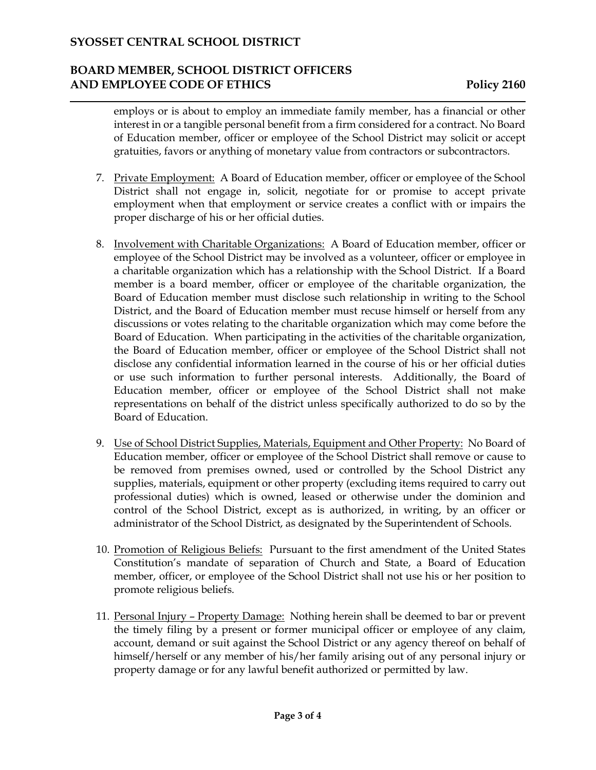# **BOARD MEMBER, SCHOOL DISTRICT OFFICERS AND EMPLOYEE CODE OF ETHICS Policy 2160**

employs or is about to employ an immediate family member, has a financial or other interest in or a tangible personal benefit from a firm considered for a contract. No Board of Education member, officer or employee of the School District may solicit or accept gratuities, favors or anything of monetary value from contractors or subcontractors.

- 7. Private Employment: A Board of Education member, officer or employee of the School District shall not engage in, solicit, negotiate for or promise to accept private employment when that employment or service creates a conflict with or impairs the proper discharge of his or her official duties.
- 8. Involvement with Charitable Organizations: A Board of Education member, officer or employee of the School District may be involved as a volunteer, officer or employee in a charitable organization which has a relationship with the School District. If a Board member is a board member, officer or employee of the charitable organization, the Board of Education member must disclose such relationship in writing to the School District, and the Board of Education member must recuse himself or herself from any discussions or votes relating to the charitable organization which may come before the Board of Education. When participating in the activities of the charitable organization, the Board of Education member, officer or employee of the School District shall not disclose any confidential information learned in the course of his or her official duties or use such information to further personal interests. Additionally, the Board of Education member, officer or employee of the School District shall not make representations on behalf of the district unless specifically authorized to do so by the Board of Education.
- 9. Use of School District Supplies, Materials, Equipment and Other Property: No Board of Education member, officer or employee of the School District shall remove or cause to be removed from premises owned, used or controlled by the School District any supplies, materials, equipment or other property (excluding items required to carry out professional duties) which is owned, leased or otherwise under the dominion and control of the School District, except as is authorized, in writing, by an officer or administrator of the School District, as designated by the Superintendent of Schools.
- 10. Promotion of Religious Beliefs: Pursuant to the first amendment of the United States Constitution's mandate of separation of Church and State, a Board of Education member, officer, or employee of the School District shall not use his or her position to promote religious beliefs.
- 11. Personal Injury Property Damage: Nothing herein shall be deemed to bar or prevent the timely filing by a present or former municipal officer or employee of any claim, account, demand or suit against the School District or any agency thereof on behalf of himself/herself or any member of his/her family arising out of any personal injury or property damage or for any lawful benefit authorized or permitted by law.